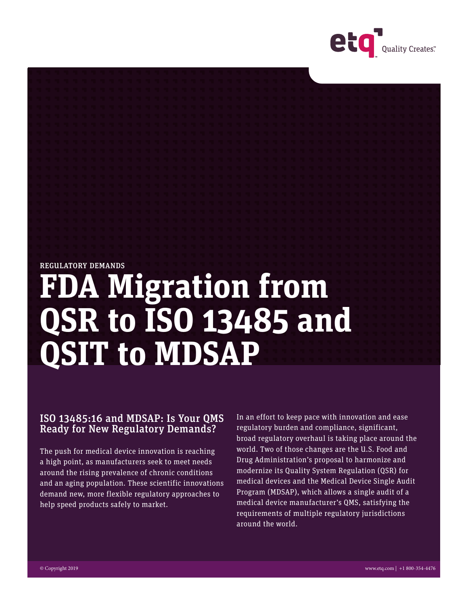

### REGULATORY DEMANDS

# **FDA Migration from QSR to ISO 13485 and QSIT to MDSAP**

## ISO 13485:16 and MDSAP: Is Your QMS Ready for New Regulatory Demands?

The push for medical device innovation is reaching a high point, as manufacturers seek to meet needs around the rising prevalence of chronic conditions and an aging population. These scientific innovations demand new, more flexible regulatory approaches to help speed products safely to market.

In an effort to keep pace with innovation and ease regulatory burden and compliance, significant, broad regulatory overhaul is taking place around the world. Two of those changes are the U.S. Food and Drug Administration's proposal to harmonize and modernize its Quality System Regulation (QSR) for medical devices and the Medical Device Single Audit Program (MDSAP), which allows a single audit of a medical device manufacturer's QMS, satisfying the requirements of multiple regulatory jurisdictions around the world.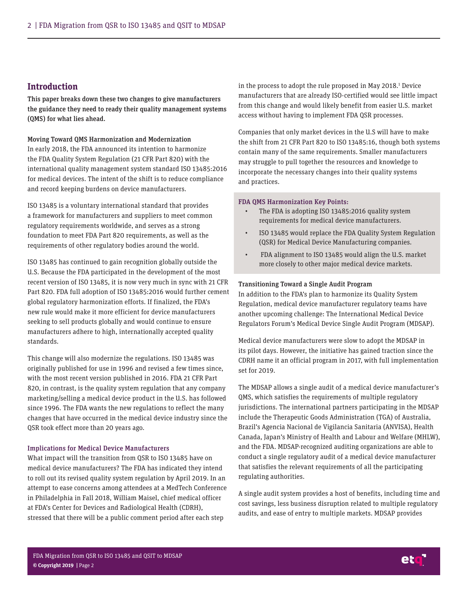## **Introduction**

This paper breaks down these two changes to give manufacturers the guidance they need to ready their quality management systems (QMS) for what lies ahead.

Moving Toward QMS Harmonization and Modernization In early 2018, the FDA announced its intention to harmonize the FDA Quality System Regulation (21 CFR Part 820) with the international quality management system standard ISO 13485:2016 for medical devices. The intent of the shift is to reduce compliance and record keeping burdens on device manufacturers.

ISO 13485 is a voluntary international standard that provides a framework for manufacturers and suppliers to meet common regulatory requirements worldwide, and serves as a strong foundation to meet FDA Part 820 requirements, as well as the requirements of other regulatory bodies around the world.

ISO 13485 has continued to gain recognition globally outside the U.S. Because the FDA participated in the development of the most recent version of ISO 13485, it is now very much in sync with 21 CFR Part 820. FDA full adoption of ISO 13485:2016 would further cement global regulatory harmonization efforts. If finalized, the FDA's new rule would make it more efficient for device manufacturers seeking to sell products globally and would continue to ensure manufacturers adhere to high, internationally accepted quality standards.

This change will also modernize the regulations. ISO 13485 was originally published for use in 1996 and revised a few times since, with the most recent version published in 2016. FDA 21 CFR Part 820, in contrast, is the quality system regulation that any company marketing/selling a medical device product in the U.S. has followed since 1996. The FDA wants the new regulations to reflect the many changes that have occurred in the medical device industry since the QSR took effect more than 20 years ago.

#### Implications for Medical Device Manufacturers

What impact will the transition from QSR to ISO 13485 have on medical device manufacturers? The FDA has indicated they intend to roll out its revised quality system regulation by April 2019. In an attempt to ease concerns among attendees at a MedTech Conference in Philadelphia in Fall 2018, William Maisel, chief medical officer at FDA's Center for Devices and Radiological Health (CDRH), stressed that there will be a public comment period after each step

in the process to adopt the rule proposed in May 2018.<sup>1</sup> Device manufacturers that are already ISO-certified would see little impact from this change and would likely benefit from easier U.S. market access without having to implement FDA QSR processes.

Companies that only market devices in the U.S will have to make the shift from 21 CFR Part 820 to ISO 13485:16, though both systems contain many of the same requirements. Smaller manufacturers may struggle to pull together the resources and knowledge to incorporate the necessary changes into their quality systems and practices.

#### FDA QMS Harmonization Key Points:

- The FDA is adopting ISO 13485:2016 quality system requirements for medical device manufacturers.
- ISO 13485 would replace the FDA Quality System Regulation (QSR) for Medical Device Manufacturing companies.
- FDA alignment to ISO 13485 would align the U.S. market more closely to other major medical device markets.

#### Transitioning Toward a Single Audit Program

In addition to the FDA's plan to harmonize its Quality System Regulation, medical device manufacturer regulatory teams have another upcoming challenge: The International Medical Device Regulators Forum's Medical Device Single Audit Program (MDSAP).

Medical device manufacturers were slow to adopt the MDSAP in its pilot days. However, the initiative has gained traction since the CDRH name it an official program in 2017, with full implementation set for 2019.

The MDSAP allows a single audit of a medical device manufacturer's QMS, which satisfies the requirements of multiple regulatory jurisdictions. The international partners participating in the MDSAP include the Therapeutic Goods Administration (TGA) of Australia, Brazil's Agencia Nacional de Vigilancia Sanitaria (ANVISA), Health Canada, Japan's Ministry of Health and Labour and Welfare (MHLW), and the FDA. MDSAP-recognized auditing organizations are able to conduct a single regulatory audit of a medical device manufacturer that satisfies the relevant requirements of all the participating regulating authorities.

A single audit system provides a host of benefits, including time and cost savings, less business disruption related to multiple regulatory audits, and ease of entry to multiple markets. MDSAP provides

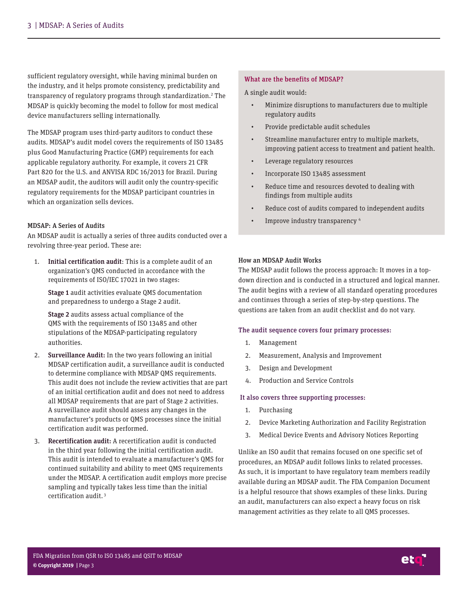sufficient regulatory oversight, while having minimal burden on the industry, and it helps promote consistency, predictability and transparency of regulatory programs through standardization.<sup>2</sup> The MDSAP is quickly becoming the model to follow for most medical device manufacturers selling internationally.

The MDSAP program uses third-party auditors to conduct these audits. MDSAP's audit model covers the requirements of ISO 13485 plus Good Manufacturing Practice (GMP) requirements for each applicable regulatory authority. For example, it covers 21 CFR Part 820 for the U.S. and ANVISA RDC 16/2013 for Brazil. During an MDSAP audit, the auditors will audit only the country-specific regulatory requirements for the MDSAP participant countries in which an organization sells devices.

#### MDSAP: A Series of Audits

An MDSAP audit is actually a series of three audits conducted over a revolving three-year period. These are:

1. Initial certification audit: This is a complete audit of an organization's QMS conducted in accordance with the requirements of ISO/IEC 17021 in two stages:

Stage 1 audit activities evaluate QMS documentation and preparedness to undergo a Stage 2 audit.

Stage 2 audits assess actual compliance of the QMS with the requirements of ISO 13485 and other stipulations of the MDSAP-participating regulatory authorities.

- 2. Surveillance Audit: In the two years following an initial MDSAP certification audit, a surveillance audit is conducted to determine compliance with MDSAP QMS requirements. This audit does not include the review activities that are part of an initial certification audit and does not need to address all MDSAP requirements that are part of Stage 2 activities. A surveillance audit should assess any changes in the manufacturer's products or QMS processes since the initial certification audit was performed.
- 3. Recertification audit: A recertification audit is conducted in the third year following the initial certification audit. This audit is intended to evaluate a manufacturer's QMS for continued suitability and ability to meet QMS requirements under the MDSAP. A certification audit employs more precise sampling and typically takes less time than the initial certification audit. 3

#### What are the benefits of MDSAP?

A single audit would:

- Minimize disruptions to manufacturers due to multiple regulatory audits
- Provide predictable audit schedules
- Streamline manufacturer entry to multiple markets, improving patient access to treatment and patient health.
- Leverage regulatory resources
- Incorporate ISO 13485 assessment
- Reduce time and resources devoted to dealing with findings from multiple audits
- Reduce cost of audits compared to independent audits
- Improve industry transparency 4

#### How an MDSAP Audit Works

The MDSAP audit follows the process approach: It moves in a topdown direction and is conducted in a structured and logical manner. The audit begins with a review of all standard operating procedures and continues through a series of step-by-step questions. The questions are taken from an audit checklist and do not vary.

#### The audit sequence covers four primary processes:

- 1. Management
- 2. Measurement, Analysis and Improvement
- 3. Design and Development
- 4. Production and Service Controls

#### It also covers three supporting processes:

- 1. Purchasing
- 2. Device Marketing Authorization and Facility Registration
- 3. Medical Device Events and Advisory Notices Reporting

Unlike an ISO audit that remains focused on one specific set of procedures, an MDSAP audit follows links to related processes. As such, it is important to have regulatory team members readily available during an MDSAP audit. The FDA Companion Document is a helpful resource that shows examples of these links. During an audit, manufacturers can also expect a heavy focus on risk management activities as they relate to all QMS processes.

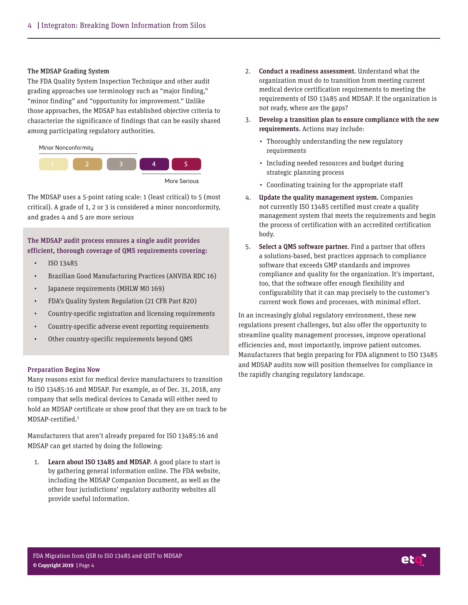#### The MDSAP Grading System

The FDA Quality System Inspection Technique and other audit grading approaches use terminology such as "major finding," "minor finding" and "opportunity for improvement." Unlike those approaches, the MDSAP has established objective criteria to characterize the significance of findings that can be easily shared among participating regulatory authorities.



The MDSAP uses a 5-point rating scale: 1 (least critical) to 5 (most critical). A grade of 1, 2 or 3 is considered a minor nonconformity, and grades 4 and 5 are more serious

## The MDSAP audit process ensures a single audit provides efficient, thorough coverage of QMS requirements covering:

- ISO 13485
- Brazilian Good Manufacturing Practices (ANVISA RDC 16)
- Japanese requirements (MHLW MO 169)
- FDA's Quality System Regulation (21 CFR Part 820)
- Country-specific registration and licensing requirements
- Country-specific adverse event reporting requirements
- Other country-specific requirements beyond QMS

#### Preparation Begins Now

Many reasons exist for medical device manufacturers to transition to ISO 13485:16 and MDSAP. For example, as of Dec. 31, 2018, any company that sells medical devices to Canada will either need to hold an MDSAP certificate or show proof that they are on track to be MDSAP-certified.<sup>5</sup>

Manufacturers that aren't already prepared for ISO 13485:16 and MDSAP can get started by doing the following:

1. Learn about ISO 13485 and MDSAP. A good place to start is by gathering general information online. The FDA website, including the MDSAP Companion Document, as well as the other four jurisdictions' regulatory authority websites all provide useful information.

- 2. Conduct a readiness assessment. Understand what the organization must do to transition from meeting current medical device certification requirements to meeting the requirements of ISO 13485 and MDSAP. If the organization is not ready, where are the gaps?
- 3. Develop a transition plan to ensure compliance with the new requirements. Actions may include:
	- Thoroughly understanding the new regulatory requirements
	- Including needed resources and budget during strategic planning process
	- Coordinating training for the appropriate staff
- 4. Update the quality management system. Companies not currently ISO 13485 certified must create a quality management system that meets the requirements and begin the process of certification with an accredited certification body.
- 5. Select a QMS software partner. Find a partner that offers a solutions-based, best practices approach to compliance software that exceeds GMP standards and improves compliance and quality for the organization. It's important, too, that the software offer enough flexibility and configurability that it can map precisely to the customer's current work flows and processes, with minimal effort.

In an increasingly global regulatory environment, these new regulations present challenges, but also offer the opportunity to streamline quality management processes, improve operational efficiencies and, most importantly, improve patient outcomes. Manufacturers that begin preparing for FDA alignment to ISO 13485 and MDSAP audits now will position themselves for compliance in the rapidly changing regulatory landscape.